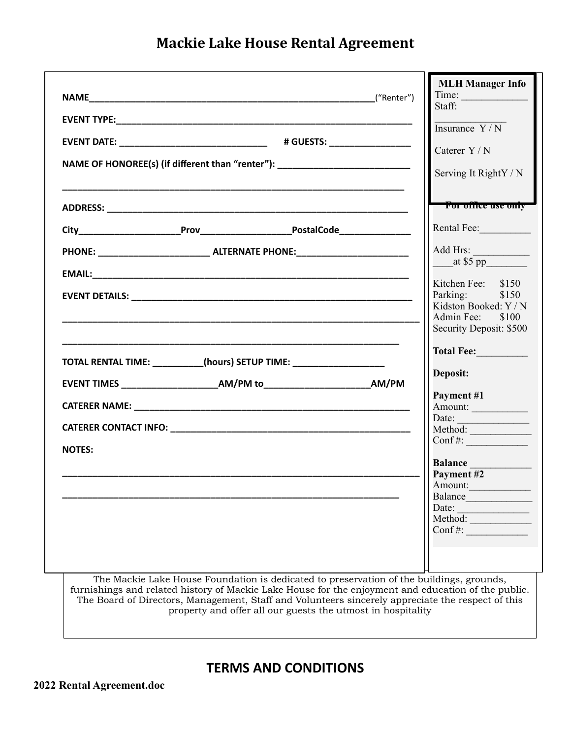**Mackie Lake House Rental Agreement**

|                                                                       |                                                                                                                                                                                                                                                                                                                                                                     | <b>MLH Manager Info</b><br>Time:<br>Staff:                                        |
|-----------------------------------------------------------------------|---------------------------------------------------------------------------------------------------------------------------------------------------------------------------------------------------------------------------------------------------------------------------------------------------------------------------------------------------------------------|-----------------------------------------------------------------------------------|
|                                                                       |                                                                                                                                                                                                                                                                                                                                                                     | $\frac{1}{\text{Insurance } Y/N}$                                                 |
|                                                                       |                                                                                                                                                                                                                                                                                                                                                                     |                                                                                   |
|                                                                       | NAME OF HONOREE(s) (if different than "renter"): _______________________________                                                                                                                                                                                                                                                                                    | Caterer Y/N                                                                       |
|                                                                       |                                                                                                                                                                                                                                                                                                                                                                     | Serving It RightY / N                                                             |
|                                                                       |                                                                                                                                                                                                                                                                                                                                                                     | For office use only                                                               |
|                                                                       |                                                                                                                                                                                                                                                                                                                                                                     | Rental Fee:                                                                       |
|                                                                       |                                                                                                                                                                                                                                                                                                                                                                     | Add Hrs:                                                                          |
|                                                                       |                                                                                                                                                                                                                                                                                                                                                                     | at \$5 pp                                                                         |
|                                                                       |                                                                                                                                                                                                                                                                                                                                                                     | Kitchen Fee: \$150<br>Parking: \$150<br>Kidston Booked: Y / N<br>Admin Fee: \$100 |
|                                                                       |                                                                                                                                                                                                                                                                                                                                                                     | Security Deposit: \$500<br>Total Fee:                                             |
| TOTAL RENTAL TIME: __________(hours) SETUP TIME: ____________________ |                                                                                                                                                                                                                                                                                                                                                                     | Deposit:                                                                          |
|                                                                       |                                                                                                                                                                                                                                                                                                                                                                     | Payment #1                                                                        |
|                                                                       |                                                                                                                                                                                                                                                                                                                                                                     | Amount:                                                                           |
|                                                                       |                                                                                                                                                                                                                                                                                                                                                                     | Date: $\qquad \qquad$<br>Method:                                                  |
| <b>NOTES:</b>                                                         |                                                                                                                                                                                                                                                                                                                                                                     | $\text{Conf}\,\text{\#:}\$                                                        |
|                                                                       |                                                                                                                                                                                                                                                                                                                                                                     | <b>Balance</b><br>Payment #2                                                      |
|                                                                       |                                                                                                                                                                                                                                                                                                                                                                     | Amount:                                                                           |
|                                                                       |                                                                                                                                                                                                                                                                                                                                                                     | Date: <u>Jacques Method:</u>                                                      |
|                                                                       |                                                                                                                                                                                                                                                                                                                                                                     |                                                                                   |
|                                                                       |                                                                                                                                                                                                                                                                                                                                                                     |                                                                                   |
|                                                                       | The Mackie Lake House Foundation is dedicated to preservation of the buildings, grounds,<br>furnishings and related history of Mackie Lake House for the enjoyment and education of the public.<br>The Board of Directors, Management, Staff and Volunteers sincerely appreciate the respect of this<br>property and offer all our guests the utmost in hospitality |                                                                                   |

**TERMS AND CONDITIONS**